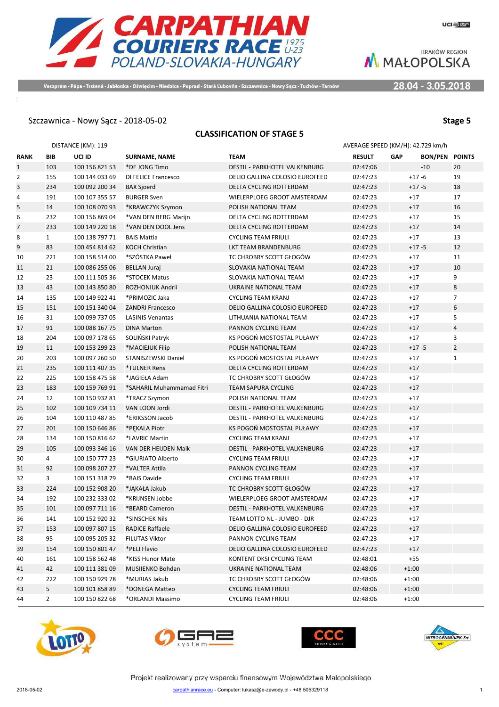

Veszprém - Pápa - Trstená - Jabłonka - Oświęcim - Niedzica - Poprad - Stará Ľubovňa - Szczawnica - Nowy Sącz - Tuchów - Tarnóv

28.04 - 3.05.2018

### Szczawnica - Nowy Sącz - 2018-05-02 **Stage 5**

### **CLASSIFICATION OF STAGE 5**

|                |                | DISTANCE (KM): 119 |                           |                                | AVERAGE SPEED (KM/H): 42.729 km/h |            |                       |                |
|----------------|----------------|--------------------|---------------------------|--------------------------------|-----------------------------------|------------|-----------------------|----------------|
| RANK           | BIB            | UCI ID             | <b>SURNAME, NAME</b>      | <b>TEAM</b>                    | <b>RESULT</b>                     | <b>GAP</b> | <b>BON/PEN POINTS</b> |                |
| $\mathbf{1}$   | 103            | 100 156 821 53     | *DE JONG Timo             | DESTIL - PARKHOTEL VALKENBURG  | 02:47:06                          |            | $-10$                 | 20             |
| $\overline{2}$ | 155            | 100 144 033 69     | DI FELICE Francesco       | DELIO GALLINA COLOSIO EUROFEED | 02:47:23                          |            | $+17 - 6$             | 19             |
| 3              | 234            | 100 092 200 34     | <b>BAX Sjoerd</b>         | DELTA CYCLING ROTTERDAM        | 02:47:23                          |            | $+17 - 5$             | 18             |
| 4              | 191            | 100 107 355 57     | <b>BURGER Sven</b>        | WIELERPLOEG GROOT AMSTERDAM    | 02:47:23                          |            | $+17$                 | 17             |
| 5              | 14             | 100 108 070 93     | *KRAWCZYK Szymon          | POLISH NATIONAL TEAM           | 02:47:23                          |            | $+17$                 | 16             |
| 6              | 232            | 100 156 869 04     | *VAN DEN BERG Marijn      | DELTA CYCLING ROTTERDAM        | 02:47:23                          |            | $+17$                 | 15             |
| 7              | 233            | 100 149 220 18     | *VAN DEN DOOL Jens        | DELTA CYCLING ROTTERDAM        | 02:47:23                          |            | $+17$                 | 14             |
| 8              | $\mathbf{1}$   | 100 138 797 71     | <b>BAIS Mattia</b>        | <b>CYCLING TEAM FRIULI</b>     | 02:47:23                          |            | $+17$                 | 13             |
| 9              | 83             | 100 454 814 62     | <b>KOCH Christian</b>     | <b>LKT TEAM BRANDENBURG</b>    | 02:47:23                          |            | $+17 - 5$             | 12             |
| 10             | 221            | 100 158 514 00     | *SZÓSTKA Paweł            | TC CHROBRY SCOTT GŁOGÓW        | 02:47:23                          |            | $+17$                 | 11             |
| 11             | 21             | 100 086 255 06     | <b>BELLAN Juraj</b>       | SLOVAKIA NATIONAL TEAM         | 02:47:23                          |            | $+17$                 | 10             |
| 12             | 23             | 100 111 505 36     | *STOCEK Matus             | SLOVAKIA NATIONAL TEAM         | 02:47:23                          |            | $+17$                 | 9              |
| 13             | 43             | 100 143 850 80     | ROZHONIUK Andrii          | UKRAINE NATIONAL TEAM          | 02:47:23                          |            | $+17$                 | 8              |
| 14             | 135            | 100 149 922 41     | *PRIMOZIC Jaka            | <b>CYCLING TEAM KRANJ</b>      | 02:47:23                          |            | $+17$                 | $\overline{7}$ |
| 15             | 151            | 100 151 340 04     | <b>ZANDRI Francesco</b>   | DELIO GALLINA COLOSIO EUROFEED | 02:47:23                          |            | $+17$                 | 6              |
| 16             | 31             | 100 099 737 05     | <b>LASINIS Venantas</b>   | LITHUANIA NATIONAL TEAM        | 02:47:23                          |            | $+17$                 | 5              |
| 17             | 91             | 100 088 167 75     | <b>DINA Marton</b>        | PANNON CYCLING TEAM            | 02:47:23                          |            | $+17$                 | $\overline{4}$ |
| 18             | 204            | 100 097 178 65     | SOLIŃSKI Patryk           | KS POGOŃ MOSTOSTAL PUŁAWY      | 02:47:23                          |            | $+17$                 | 3              |
| 19             | 11             | 100 153 299 23     | *MACIEJUK Filip           | POLISH NATIONAL TEAM           | 02:47:23                          |            | $+17 - 5$             | $\overline{2}$ |
| 20             | 203            | 100 097 260 50     | STANISZEWSKI Daniel       | KS POGOŃ MOSTOSTAL PUŁAWY      | 02:47:23                          |            | $+17$                 | $\mathbf{1}$   |
| 21             | 235            | 100 111 407 35     | *TULNER Rens              | <b>DELTA CYCLING ROTTERDAM</b> | 02:47:23                          |            | $+17$                 |                |
| 22             | 225            | 100 158 475 58     | *JAGIEŁA Adam             | TC CHROBRY SCOTT GŁOGÓW        | 02:47:23                          |            | $+17$                 |                |
| 23             | 183            | 100 159 769 91     | *SAHARIL Muhammamad Fitri | <b>TEAM SAPURA CYCLING</b>     | 02:47:23                          |            | $+17$                 |                |
| 24             | 12             | 100 150 932 81     | *TRACZ Szymon             | POLISH NATIONAL TEAM           | 02:47:23                          |            | $+17$                 |                |
| 25             | 102            | 100 109 734 11     | VAN LOON Jordi            | DESTIL - PARKHOTEL VALKENBURG  | 02:47:23                          |            | $+17$                 |                |
| 26             | 104            | 100 110 487 85     | *ERIKSSON Jacob           | DESTIL - PARKHOTEL VALKENBURG  | 02:47:23                          |            | $+17$                 |                |
| 27             | 201            | 100 150 646 86     | *PEKALA Piotr             | KS POGOŃ MOSTOSTAL PUŁAWY      | 02:47:23                          |            | $+17$                 |                |
| 28             | 134            | 100 150 816 62     | *LAVRIC Martin            | <b>CYCLING TEAM KRANJ</b>      | 02:47:23                          |            | $+17$                 |                |
| 29             | 105            | 100 093 346 16     | VAN DER HEIJDEN Maik      | DESTIL - PARKHOTEL VALKENBURG  | 02:47:23                          |            | $+17$                 |                |
| 30             | 4              | 100 150 777 23     | *GIURIATO Alberto         | <b>CYCLING TEAM FRIULI</b>     | 02:47:23                          |            | $+17$                 |                |
| 31             | 92             | 100 098 207 27     | *VALTER Attila            | PANNON CYCLING TEAM            | 02:47:23                          |            | $+17$                 |                |
| 32             | 3              | 100 151 318 79     | *BAIS Davide              | <b>CYCLING TEAM FRIULI</b>     | 02:47:23                          |            | $+17$                 |                |
| 33             | 224            | 100 152 908 20     | *JAKAŁA Jakub             | TC CHROBRY SCOTT GŁOGÓW        | 02:47:23                          |            | $+17$                 |                |
| 34             | 192            | 100 232 333 02     | *KRIJNSEN Jobbe           | WIELERPLOEG GROOT AMSTERDAM    | 02:47:23                          |            | $+17$                 |                |
| 35             | 101            | 100 097 711 16     | *BEARD Cameron            | DESTIL - PARKHOTEL VALKENBURG  | 02:47:23                          |            | $+17$                 |                |
| 36             | 141            | 100 152 920 32     | *SINSCHEK Nils            | TEAM LOTTO NL - JUMBO - DJR    | 02:47:23                          |            | $+17$                 |                |
| 37             | 153            | 100 097 807 15     | <b>RADICE Raffaele</b>    | DELIO GALLINA COLOSIO EUROFEED | 02:47:23                          |            | $+17$                 |                |
| 38             | 95             | 100 095 205 32     | FILUTAS Viktor            | PANNON CYCLING TEAM            | 02:47:23                          |            | $+17$                 |                |
| 39             | 154            | 100 150 801 47     | *PELI Flavio              | DELIO GALLINA COLOSIO EUROFEED | 02:47:23                          |            | $+17$                 |                |
| 40             | 161            | 100 158 562 48     | *KISS Hunor Mate          | KONTENT DKSI CYCLING TEAM      | 02:48:01                          |            | $+55$                 |                |
| 41             | 42             | 100 111 381 09     | MUSIIENKO Bohdan          | UKRAINE NATIONAL TEAM          | 02:48:06                          |            | $+1:00$               |                |
| 42             | 222            | 100 150 929 78     | *MURIAS Jakub             | TC CHROBRY SCOTT GŁOGÓW        | 02:48:06                          |            | $+1:00$               |                |
| 43             | 5              | 100 101 858 89     | *DONEGA Matteo            | <b>CYCLING TEAM FRIULI</b>     | 02:48:06                          |            | $+1:00$               |                |
| 44             | $\overline{2}$ | 100 150 822 68     | *ORLANDI Massimo          | <b>CYCLING TEAM FRIULI</b>     | 02:48:06                          |            | $+1:00$               |                |







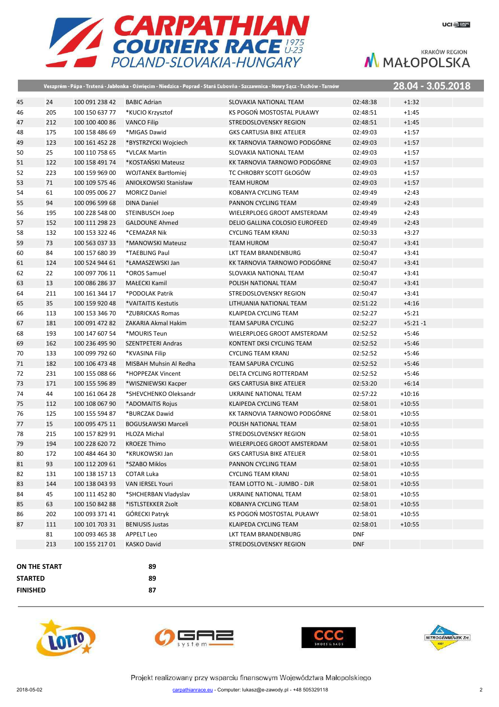

|              |     |                |                              | Veszprém - Pápa - Trstená - Jabłonka - Oświęcim - Niedzica - Poprad - Stará Ľubovňa - Szczawnica - Nowy Sącz - Tuchów - Tarnów |            |            | 28.04 - 3.05.2018 |
|--------------|-----|----------------|------------------------------|--------------------------------------------------------------------------------------------------------------------------------|------------|------------|-------------------|
| 45           | 24  | 100 091 238 42 | <b>BABIC Adrian</b>          | SLOVAKIA NATIONAL TEAM                                                                                                         | 02:48:38   | $+1:32$    |                   |
| 46           | 205 | 100 150 637 77 | *KUCIO Krzysztof             | KS POGOŃ MOSTOSTAL PUŁAWY                                                                                                      | 02:48:51   | $+1:45$    |                   |
| 47           | 212 | 100 100 400 86 | <b>VANCO Filip</b>           | STREDOSLOVENSKY REGION                                                                                                         | 02:48:51   | $+1:45$    |                   |
| 48           | 175 | 100 158 486 69 | *MIGAS Dawid                 | <b>GKS CARTUSIA BIKE ATELIER</b>                                                                                               | 02:49:03   | $+1:57$    |                   |
| 49           | 123 | 100 161 452 28 | *BYSTRZYCKI Wojciech         | KK TARNOVIA TARNOWO PODGÓRNE                                                                                                   | 02:49:03   | $+1:57$    |                   |
| 50           | 25  | 100 110 758 65 | *VLCAK Martin                | SLOVAKIA NATIONAL TEAM                                                                                                         | 02:49:03   | $+1:57$    |                   |
| 51           | 122 | 100 158 491 74 | *KOSTAŃSKI Mateusz           | KK TARNOVIA TARNOWO PODGÓRNE                                                                                                   | 02:49:03   | $+1:57$    |                   |
| 52           | 223 | 100 159 969 00 | <b>WOJTANEK Bartłomiej</b>   | TC CHROBRY SCOTT GŁOGÓW                                                                                                        | 02:49:03   | $+1:57$    |                   |
| 53           | 71  | 100 109 575 46 | <b>ANIOŁKOWSKI Stanisław</b> | <b>TEAM HUROM</b>                                                                                                              | 02:49:03   | $+1:57$    |                   |
| 54           | 61  | 100 095 006 27 | <b>MORICZ Daniel</b>         | KOBANYA CYCLING TEAM                                                                                                           | 02:49:49   | $+2:43$    |                   |
| 55           | 94  | 100 096 599 68 | <b>DINA Daniel</b>           | PANNON CYCLING TEAM                                                                                                            | 02:49:49   | $+2:43$    |                   |
| 56           | 195 | 100 228 548 00 | STEINBUSCH Joep              | WIELERPLOEG GROOT AMSTERDAM                                                                                                    | 02:49:49   | $+2:43$    |                   |
| 57           | 152 | 100 111 298 23 | <b>GALDOUNE Ahmed</b>        | DELIO GALLINA COLOSIO EUROFEED                                                                                                 | 02:49:49   | $+2:43$    |                   |
| 58           | 132 | 100 153 322 46 | *CEMAZAR Nik                 | <b>CYCLING TEAM KRANJ</b>                                                                                                      | 02:50:33   | $+3:27$    |                   |
| 59           | 73  | 100 563 037 33 | *MANOWSKI Mateusz            | <b>TEAM HUROM</b>                                                                                                              | 02:50:47   | $+3:41$    |                   |
| 60           | 84  | 100 157 680 39 | *TAEBLING Paul               | LKT TEAM BRANDENBURG                                                                                                           | 02:50:47   | $+3:41$    |                   |
| 61           | 124 | 100 524 944 61 | *ŁAMASZEWSKI Jan             | KK TARNOVIA TARNOWO PODGÓRNE                                                                                                   | 02:50:47   | $+3:41$    |                   |
| 62           | 22  | 100 097 706 11 | *OROS Samuel                 | SLOVAKIA NATIONAL TEAM                                                                                                         | 02:50:47   | $+3:41$    |                   |
| 63           | 13  | 100 086 286 37 | MAŁECKI Kamil                | POLISH NATIONAL TEAM                                                                                                           | 02:50:47   | $+3:41$    |                   |
| 64           | 211 | 100 161 344 17 | *PODOLAK Patrik              | STREDOSLOVENSKY REGION                                                                                                         | 02:50:47   | $+3:41$    |                   |
| 65           | 35  | 100 159 920 48 | *VAITAITIS Kestutis          | LITHUANIA NATIONAL TEAM                                                                                                        | 02:51:22   | $+4:16$    |                   |
| 66           | 113 | 100 153 346 70 | *ZUBRICKAS Romas             | KLAIPEDA CYCLING TEAM                                                                                                          | 02:52:27   | $+5:21$    |                   |
| 67           | 181 | 100 091 472 82 | ZAKARIA Akmal Hakim          | <b>TEAM SAPURA CYCLING</b>                                                                                                     | 02:52:27   | $+5:21 -1$ |                   |
| 68           | 193 | 100 147 607 54 | *MOURIS Teun                 | WIELERPLOEG GROOT AMSTERDAM                                                                                                    | 02:52:52   | $+5:46$    |                   |
| 69           | 162 | 100 236 495 90 | <b>SZENTPETERI Andras</b>    | KONTENT DKSI CYCLING TEAM                                                                                                      | 02:52:52   | $+5:46$    |                   |
| 70           | 133 | 100 099 792 60 | *KVASINA Filip               | <b>CYCLING TEAM KRANJ</b>                                                                                                      | 02:52:52   | $+5:46$    |                   |
| 71           | 182 | 100 106 473 48 | MISBAH Muhsin Al Redha       | <b>TEAM SAPURA CYCLING</b>                                                                                                     | 02:52:52   | $+5:46$    |                   |
| 72           | 231 | 100 155 088 66 | *HOPPEZAK Vincent            | DELTA CYCLING ROTTERDAM                                                                                                        | 02:52:52   | $+5:46$    |                   |
| 73           | 171 | 100 155 596 89 | *WISZNIEWSKI Kacper          | <b>GKS CARTUSIA BIKE ATELIER</b>                                                                                               | 02:53:20   | $+6:14$    |                   |
| 74           | 44  | 100 161 064 28 | *SHEVCHENKO Oleksandr        | UKRAINE NATIONAL TEAM                                                                                                          | 02:57:22   | $+10:16$   |                   |
| 75           | 112 | 100 108 067 90 | *ADOMAITIS Rojus             | KLAIPEDA CYCLING TEAM                                                                                                          | 02:58:01   | $+10:55$   |                   |
| 76           | 125 | 100 155 594 87 | *BURCZAK Dawid               | KK TARNOVIA TARNOWO PODGÓRNE                                                                                                   | 02:58:01   | $+10:55$   |                   |
| 77           | 15  | 100 095 475 11 | <b>BOGUSŁAWSKI Marceli</b>   | POLISH NATIONAL TEAM                                                                                                           | 02:58:01   | $+10:55$   |                   |
| 78           | 215 | 100 157 829 91 | <b>HLOZA Michal</b>          | STREDOSLOVENSKY REGION                                                                                                         | 02:58:01   | $+10:55$   |                   |
| 79           | 194 | 100 228 620 72 | <b>KROEZE Thimo</b>          | <b>WIELERPLOEG GROOT AMSTERDAM</b>                                                                                             | 02:58:01   | $+10:55$   |                   |
| 80           | 172 | 100 484 464 30 | *KRUKOWSKI Jan               | <b>GKS CARTUSIA BIKE ATELIER</b>                                                                                               | 02:58:01   | $+10:55$   |                   |
| 81           | 93  | 100 112 209 61 | *SZABO Miklos                | PANNON CYCLING TEAM                                                                                                            | 02:58:01   | $+10:55$   |                   |
| 82           | 131 | 100 138 157 13 | <b>COTAR Luka</b>            | <b>CYCLING TEAM KRANJ</b>                                                                                                      | 02:58:01   | $+10:55$   |                   |
| 83           | 144 | 100 138 043 93 | <b>VAN IERSEL Youri</b>      | TEAM LOTTO NL - JUMBO - DJR                                                                                                    | 02:58:01   | $+10:55$   |                   |
| 84           | 45  | 100 111 452 80 | *SHCHERBAN Vladyslav         | UKRAINE NATIONAL TEAM                                                                                                          | 02:58:01   | $+10:55$   |                   |
| 85           | 63  | 100 150 842 88 | *ISTLSTEKKER Zsolt           | KOBANYA CYCLING TEAM                                                                                                           | 02:58:01   | $+10:55$   |                   |
| 86           | 202 | 100 093 371 41 | GÓRECKI Patryk               | KS POGOŃ MOSTOSTAL PUŁAWY                                                                                                      | 02:58:01   | $+10:55$   |                   |
| 87           | 111 | 100 101 703 31 | <b>BENIUSIS Justas</b>       | KLAIPEDA CYCLING TEAM                                                                                                          | 02:58:01   | $+10:55$   |                   |
|              | 81  | 100 093 465 38 | <b>APPELT Leo</b>            | LKT TEAM BRANDENBURG                                                                                                           | <b>DNF</b> |            |                   |
|              | 213 | 100 155 217 01 | <b>KASKO David</b>           | STREDOSLOVENSKY REGION                                                                                                         | <b>DNF</b> |            |                   |
|              |     |                |                              |                                                                                                                                |            |            |                   |
| ON THE START |     |                | 89                           |                                                                                                                                |            |            |                   |

**STARTED 89 FINISHED 87**







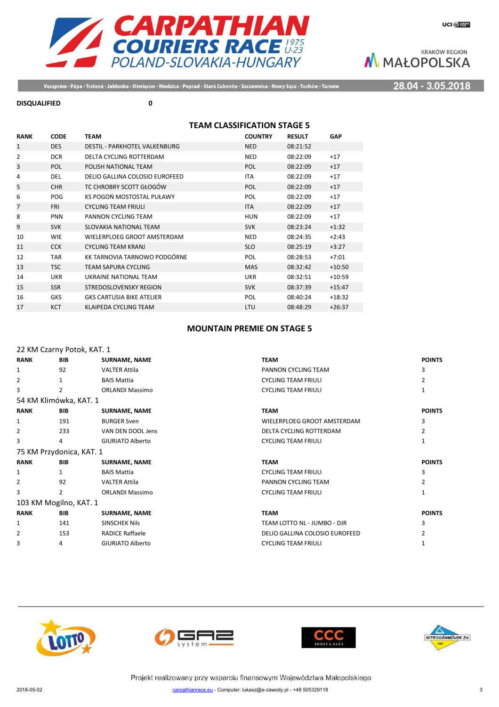

28.04 - 3.05.2018

Veszprém - Pápa - Trstená - Jabłonka - Oświęcim - Niedzica - Poprad - Stará Ľubovňa - Szczawnica - Nowy Sącz - Tuchów - Tarnów

### **DISQUALIFIED 0**

### **TEAM CLASSIFICATION STAGE 5**

| <b>RANK</b>    | <b>CODE</b> | <b>TEAM</b>                      | <b>COUNTRY</b> | <b>RESULT</b> | <b>GAP</b> |
|----------------|-------------|----------------------------------|----------------|---------------|------------|
| $\mathbf{1}$   | <b>DES</b>  | DESTIL - PARKHOTEL VALKENBURG    | <b>NED</b>     | 08:21:52      |            |
| $\overline{2}$ | <b>DCR</b>  | DELTA CYCLING ROTTERDAM          | <b>NED</b>     | 08:22:09      | $+17$      |
| 3              | <b>POL</b>  | POLISH NATIONAL TEAM             | POL            | 08:22:09      | $+17$      |
| 4              | <b>DEL</b>  | DELIO GALLINA COLOSIO EUROFEED   | <b>ITA</b>     | 08:22:09      | $+17$      |
| 5              | <b>CHR</b>  | TC CHROBRY SCOTT GŁOGÓW          | POL            | 08:22:09      | $+17$      |
| 6              | POG         | KS POGOŃ MOSTOSTAL PUŁAWY        | POL            | 08:22:09      | $+17$      |
| $\overline{7}$ | <b>FRI</b>  | <b>CYCLING TEAM FRIULI</b>       | <b>ITA</b>     | 08:22:09      | $+17$      |
| 8              | <b>PNN</b>  | PANNON CYCLING TEAM              | <b>HUN</b>     | 08:22:09      | $+17$      |
| 9              | <b>SVK</b>  | SLOVAKIA NATIONAL TEAM           | <b>SVK</b>     | 08:23:24      | $+1:32$    |
| 10             | <b>WIE</b>  | WIELERPLOEG GROOT AMSTERDAM      | <b>NED</b>     | 08:24:35      | $+2:43$    |
| 11             | <b>CCK</b>  | <b>CYCLING TEAM KRANJ</b>        | <b>SLO</b>     | 08:25:19      | $+3:27$    |
| 12             | <b>TAR</b>  | KK TARNOVIA TARNOWO PODGÓRNE     | <b>POL</b>     | 08:28:53      | $+7:01$    |
| 13             | <b>TSC</b>  | TEAM SAPURA CYCLING              | <b>MAS</b>     | 08:32:42      | $+10:50$   |
| 14             | <b>UKR</b>  | UKRAINE NATIONAL TEAM            | <b>UKR</b>     | 08:32:51      | $+10:59$   |
| 15             | <b>SSR</b>  | STREDOSLOVENSKY REGION           | <b>SVK</b>     | 08:37:39      | $+15:47$   |
| 16             | <b>GKS</b>  | <b>GKS CARTUSIA BIKE ATELIER</b> | POL            | 08:40:24      | $+18:32$   |
| 17             | <b>KCT</b>  | KLAIPEDA CYCLING TEAM            | LTU            | 08:48:29      | $+26:37$   |

### **MOUNTAIN PREMIE ON STAGE 5**

| <b>BIB</b>     | <b>SURNAME, NAME</b>    | <b>TEAM</b>                                                                                                | <b>POINTS</b> |
|----------------|-------------------------|------------------------------------------------------------------------------------------------------------|---------------|
| 92             | <b>VALTER Attila</b>    | PANNON CYCLING TEAM                                                                                        | 3             |
| $\mathbf{1}$   | <b>BAIS Mattia</b>      | <b>CYCLING TEAM FRIULI</b>                                                                                 | 2             |
| 2              | <b>ORLANDI Massimo</b>  | <b>CYCLING TEAM FRIULI</b>                                                                                 |               |
|                |                         |                                                                                                            |               |
| <b>BIB</b>     | <b>SURNAME, NAME</b>    | <b>TEAM</b>                                                                                                | <b>POINTS</b> |
| 191            | <b>BURGER Sven</b>      | WIELERPLOEG GROOT AMSTERDAM                                                                                | 3             |
| 233            | VAN DEN DOOL Jens       | DELTA CYCLING ROTTERDAM                                                                                    | 2             |
| 4              | <b>GIURIATO Alberto</b> | <b>CYCLING TEAM FRIULI</b>                                                                                 | 1             |
|                |                         |                                                                                                            |               |
| <b>BIB</b>     | <b>SURNAME, NAME</b>    | <b>TEAM</b>                                                                                                | <b>POINTS</b> |
| 1              | <b>BAIS Mattia</b>      | <b>CYCLING TEAM FRIULI</b>                                                                                 | 3             |
| 92             | <b>VALTER Attila</b>    | PANNON CYCLING TEAM                                                                                        | 2             |
| $\overline{2}$ | <b>ORLANDI Massimo</b>  | <b>CYCLING TEAM FRIULI</b>                                                                                 |               |
|                |                         |                                                                                                            |               |
| <b>BIB</b>     | <b>SURNAME, NAME</b>    | <b>TEAM</b>                                                                                                | <b>POINTS</b> |
| 141            | <b>SINSCHEK Nils</b>    | TEAM LOTTO NL - JUMBO - DJR                                                                                | 3             |
| 153            | <b>RADICE Raffaele</b>  | DELIO GALLINA COLOSIO EUROFEED                                                                             |               |
| 4              | <b>GIURIATO Alberto</b> | <b>CYCLING TEAM FRIULI</b>                                                                                 |               |
|                |                         | 22 KM Czarny Potok, KAT. 1<br>54 KM Klimówka, KAT. 1<br>75 KM Przydonica, KAT. 1<br>103 KM Mogilno, KAT. 1 |               |







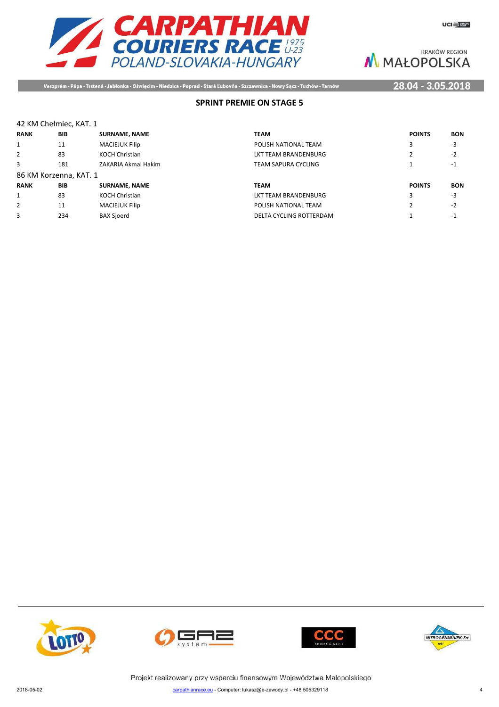

Veszprém - Pápa - Trstená - Jabłonka - Oświęcim - Niedzica - Poprad - Stará Ľubovňa - Szczawnica - Nowy Sącz - Tuchów - Tarnów

### 28.04 - 3.05.2018

### **SPRINT PREMIE ON STAGE 5**

### 42 KM Chełmiec, KAT. 1

| <b>RANK</b> | <b>BIB</b>             | <b>SURNAME, NAME</b>  | <b>TEAM</b>          | <b>POINTS</b> | <b>BON</b> |
|-------------|------------------------|-----------------------|----------------------|---------------|------------|
| 1           | 11                     | <b>MACIEJUK Filip</b> | POLISH NATIONAL TEAM | 3             | -3         |
| 2           | 83                     | <b>KOCH Christian</b> | LKT TEAM BRANDENBURG |               | $-2$       |
| 3           | 181                    | ZAKARIA Akmal Hakim   | TEAM SAPURA CYCLING  |               | -1         |
|             | 86 KM Korzenna, KAT. 1 |                       |                      |               |            |
| <b>RANK</b> | <b>BIB</b>             | <b>SURNAME, NAME</b>  | <b>TEAM</b>          | <b>POINTS</b> | <b>BON</b> |
| 1           | 83                     | <b>KOCH Christian</b> |                      |               | -3         |
|             |                        |                       | LKT TEAM BRANDENBURG |               |            |
| 2           | 11                     | <b>MACIEJUK Filip</b> | POLISH NATIONAL TEAM |               | $-2$       |







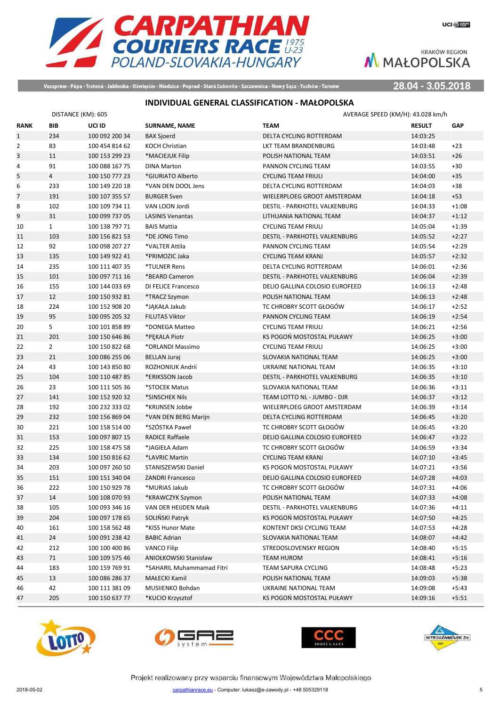

Veszprém - Pápa - Trstená - Jabłonka - Oświęcim - Niedzica - Poprad - Stará Ľubovňa - Szczawnica - Nowy Sącz - Tuchów - Tarnów

28.04 - 3.05.2018

### **INDIVIDUAL GENERAL CLASSIFICATION - MAŁOPOLSKA**

|                | DISTANCE (KM): 605 |                |                           | AVERAGE SPEED (KM/H): 43.028 km/h    |               |            |
|----------------|--------------------|----------------|---------------------------|--------------------------------------|---------------|------------|
| <b>RANK</b>    | <b>BIB</b>         | UCI ID         | <b>SURNAME, NAME</b>      | <b>TEAM</b>                          | <b>RESULT</b> | <b>GAP</b> |
| $\mathbf{1}$   | 234                | 100 092 200 34 | <b>BAX Sjoerd</b>         | DELTA CYCLING ROTTERDAM              | 14:03:25      |            |
| $\overline{2}$ | 83                 | 100 454 814 62 | <b>KOCH Christian</b>     | LKT TEAM BRANDENBURG                 | 14:03:48      | $+23$      |
| 3              | 11                 | 100 153 299 23 | *MACIEJUK Filip           | POLISH NATIONAL TEAM                 | 14:03:51      | $+26$      |
| 4              | 91                 | 100 088 167 75 | <b>DINA Marton</b>        | PANNON CYCLING TEAM                  | 14:03:55      | $+30$      |
| 5              | $\overline{4}$     | 100 150 777 23 | *GIURIATO Alberto         | <b>CYCLING TEAM FRIULI</b>           | 14:04:00      | $+35$      |
| 6              | 233                | 100 149 220 18 | *VAN DEN DOOL Jens        | DELTA CYCLING ROTTERDAM              | 14:04:03      | $+38$      |
| $\overline{7}$ | 191                | 100 107 355 57 | <b>BURGER Sven</b>        | WIELERPLOEG GROOT AMSTERDAM          | 14:04:18      | $+53$      |
| 8              | 102                | 100 109 734 11 | VAN LOON Jordi            | DESTIL - PARKHOTEL VALKENBURG        | 14:04:33      | $+1:08$    |
| 9              | 31                 | 100 099 737 05 | <b>LASINIS Venantas</b>   | LITHUANIA NATIONAL TEAM              | 14:04:37      | $+1:12$    |
| 10             | $\mathbf{1}$       | 100 138 797 71 | <b>BAIS Mattia</b>        | <b>CYCLING TEAM FRIULI</b>           | 14:05:04      | $+1:39$    |
| 11             | 103                | 100 156 821 53 | *DE JONG Timo             | DESTIL - PARKHOTEL VALKENBURG        | 14:05:52      | $+2:27$    |
| 12             | 92                 | 100 098 207 27 | *VALTER Attila            | PANNON CYCLING TEAM                  | 14:05:54      | $+2:29$    |
| 13             | 135                | 100 149 922 41 | *PRIMOZIC Jaka            | <b>CYCLING TEAM KRANJ</b>            | 14:05:57      | $+2:32$    |
| 14             | 235                | 100 111 407 35 | *TULNER Rens              | DELTA CYCLING ROTTERDAM              | 14:06:01      | $+2:36$    |
| 15             | 101                | 100 097 711 16 | *BEARD Cameron            | DESTIL - PARKHOTEL VALKENBURG        | 14:06:04      | $+2:39$    |
| 16             | 155                | 100 144 033 69 | DI FELICE Francesco       | DELIO GALLINA COLOSIO EUROFEED       | 14:06:13      | $+2:48$    |
| 17             | 12                 | 100 150 932 81 | *TRACZ Szymon             | POLISH NATIONAL TEAM                 | 14:06:13      | $+2:48$    |
| 18             | 224                | 100 152 908 20 | *JAKAŁA Jakub             | TC CHROBRY SCOTT GŁOGÓW              | 14:06:17      | $+2:52$    |
| 19             | 95                 | 100 095 205 32 | <b>FILUTAS Viktor</b>     | PANNON CYCLING TEAM                  | 14:06:19      | $+2:54$    |
| 20             | 5                  | 100 101 858 89 | *DONEGA Matteo            | <b>CYCLING TEAM FRIULI</b>           | 14:06:21      | $+2:56$    |
| 21             | 201                | 100 150 646 86 | *PEKALA Piotr             | KS POGOŃ MOSTOSTAL PUŁAWY            | 14:06:25      | $+3:00$    |
| 22             | $\overline{2}$     | 100 150 822 68 | *ORLANDI Massimo          | <b>CYCLING TEAM FRIULI</b>           | 14:06:25      | $+3:00$    |
| 23             | 21                 | 100 086 255 06 | <b>BELLAN Juraj</b>       | SLOVAKIA NATIONAL TEAM               | 14:06:25      | $+3:00$    |
| 24             | 43                 | 100 143 850 80 | ROZHONIUK Andrii          | UKRAINE NATIONAL TEAM                | 14:06:35      | $+3:10$    |
| 25             | 104                | 100 110 487 85 | *ERIKSSON Jacob           | DESTIL - PARKHOTEL VALKENBURG        | 14:06:35      | $+3:10$    |
| 26             | 23                 | 100 111 505 36 | *STOCEK Matus             | SLOVAKIA NATIONAL TEAM               | 14:06:36      | $+3:11$    |
| 27             | 141                | 100 152 920 32 | *SINSCHEK Nils            | TEAM LOTTO NL - JUMBO - DJR          | 14:06:37      | $+3:12$    |
| 28             | 192                | 100 232 333 02 | *KRIJNSEN Jobbe           | WIELERPLOEG GROOT AMSTERDAM          | 14:06:39      | $+3:14$    |
| 29             | 232                | 100 156 869 04 | *VAN DEN BERG Marijn      | DELTA CYCLING ROTTERDAM              | 14:06:45      | $+3:20$    |
| 30             | 221                | 100 158 514 00 | *SZÓSTKA Paweł            | TC CHROBRY SCOTT GŁOGÓW              | 14:06:45      | $+3:20$    |
| 31             | 153                | 100 097 807 15 | RADICE Raffaele           | DELIO GALLINA COLOSIO EUROFEED       | 14:06:47      | $+3:22$    |
| 32             | 225                | 100 158 475 58 | *JAGIEŁA Adam             | TC CHROBRY SCOTT GŁOGÓW              | 14:06:59      | $+3:34$    |
| 33             | 134                | 100 150 816 62 | *LAVRIC Martin            | <b>CYCLING TEAM KRANJ</b>            | 14:07:10      | $+3:45$    |
| 34             | 203                | 100 097 260 50 | STANISZEWSKI Daniel       | KS POGOŃ MOSTOSTAL PUŁAWY            | 14:07:21      | $+3:56$    |
| 35             | 151                | 100 151 340 04 | <b>ZANDRI Francesco</b>   | DELIO GALLINA COLOSIO EUROFEED       | 14:07:28      | $+4:03$    |
| 36             | 222                | 100 150 929 78 | *MURIAS Jakub             | TC CHROBRY SCOTT GŁOGÓW              | 14:07:31      | $+4:06$    |
| 37             | 14                 | 100 108 070 93 | *KRAWCZYK Szymon          | POLISH NATIONAL TEAM                 | 14:07:33      | $+4:08$    |
| 38             | 105                | 100 093 346 16 | VAN DER HEIJDEN Maik      | <b>DESTIL - PARKHOTEL VALKENBURG</b> | 14:07:36      | $+4:11$    |
| 39             | 204                | 100 097 178 65 | SOLIŃSKI Patryk           | KS POGOŃ MOSTOSTAL PUŁAWY            | 14:07:50      | $+4:25$    |
| 40             | 161                | 100 158 562 48 | *KISS Hunor Mate          | KONTENT DKSI CYCLING TEAM            | 14:07:53      | $+4:28$    |
| 41             | 24                 | 100 091 238 42 | <b>BABIC Adrian</b>       | SLOVAKIA NATIONAL TEAM               | 14:08:07      | $+4:42$    |
| 42             | 212                | 100 100 400 86 | <b>VANCO Filip</b>        | STREDOSLOVENSKY REGION               | 14:08:40      | $+5:15$    |
| 43             | 71                 | 100 109 575 46 | ANIOŁKOWSKI Stanisław     | <b>TEAM HUROM</b>                    | 14:08:41      | $+5:16$    |
| 44             | 183                | 100 159 769 91 | *SAHARIL Muhammamad Fitri | TEAM SAPURA CYCLING                  | 14:08:48      | $+5:23$    |
| 45             | 13                 | 100 086 286 37 | MAŁECKI Kamil             | POLISH NATIONAL TEAM                 | 14:09:03      | $+5:38$    |
| 46             | 42                 | 100 111 381 09 | MUSIIENKO Bohdan          | UKRAINE NATIONAL TEAM                | 14:09:08      | $+5:43$    |
| 47             | 205                | 100 150 637 77 | *KUCIO Krzysztof          | KS POGOŃ MOSTOSTAL PUŁAWY            | 14:09:16      | $+5:51$    |







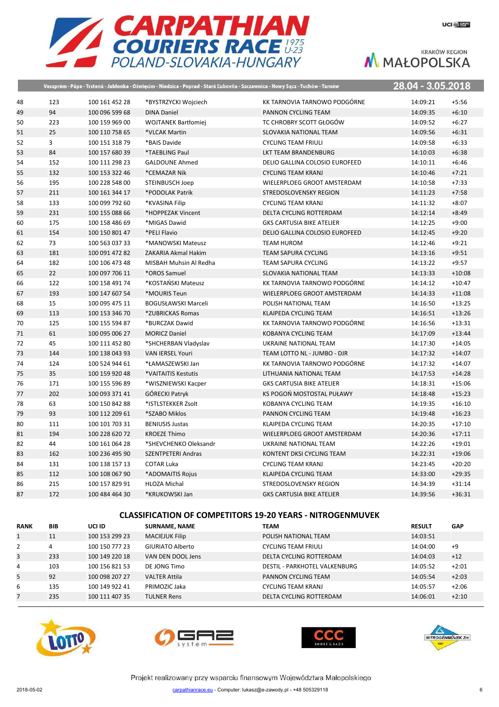

|    |                |                |                            | Veszprém - Pápa - Trstená - Jabłonka - Oświęcim - Niedzica - Poprad - Stará Ľubovňa - Szczawnica - Nowy Sącz - Tuchów - Tarnów | 28.04 - 3.05.2018 |          |
|----|----------------|----------------|----------------------------|--------------------------------------------------------------------------------------------------------------------------------|-------------------|----------|
| 48 | 123            | 100 161 452 28 | *BYSTRZYCKI Wojciech       | KK TARNOVIA TARNOWO PODGÓRNE                                                                                                   | 14:09:21          | $+5:56$  |
| 49 | 94             | 100 096 599 68 | <b>DINA Daniel</b>         | PANNON CYCLING TEAM                                                                                                            | 14:09:35          | $+6:10$  |
| 50 | 223            | 100 159 969 00 | <b>WOJTANEK Bartłomiej</b> | TC CHROBRY SCOTT GŁOGÓW                                                                                                        | 14:09:52          | $+6:27$  |
| 51 | 25             | 100 110 758 65 | *VLCAK Martin              | SLOVAKIA NATIONAL TEAM                                                                                                         | 14:09:56          | $+6:31$  |
| 52 | $\overline{3}$ | 100 151 318 79 | *BAIS Davide               | <b>CYCLING TEAM FRIULI</b>                                                                                                     | 14:09:58          | $+6:33$  |
| 53 | 84             | 100 157 680 39 | *TAEBLING Paul             | LKT TEAM BRANDENBURG                                                                                                           | 14:10:03          | $+6:38$  |
| 54 | 152            | 100 111 298 23 | <b>GALDOUNE Ahmed</b>      | DELIO GALLINA COLOSIO EUROFEED                                                                                                 | 14:10:11          | $+6:46$  |
| 55 | 132            | 100 153 322 46 | *CEMAZAR Nik               | <b>CYCLING TEAM KRANJ</b>                                                                                                      | 14:10:46          | $+7:21$  |
| 56 | 195            | 100 228 548 00 | STEINBUSCH Joep            | WIELERPLOEG GROOT AMSTERDAM                                                                                                    | 14:10:58          | $+7:33$  |
| 57 | 211            | 100 161 344 17 | *PODOLAK Patrik            | STREDOSLOVENSKY REGION                                                                                                         | 14:11:23          | $+7:58$  |
| 58 | 133            | 100 099 792 60 | *KVASINA Filip             | <b>CYCLING TEAM KRANJ</b>                                                                                                      | 14:11:32          | $+8:07$  |
| 59 | 231            | 100 155 088 66 | *HOPPEZAK Vincent          | DELTA CYCLING ROTTERDAM                                                                                                        | 14:12:14          | $+8:49$  |
| 60 | 175            | 100 158 486 69 | *MIGAS Dawid               | <b>GKS CARTUSIA BIKE ATELIER</b>                                                                                               | 14:12:25          | $+9:00$  |
| 61 | 154            | 100 150 801 47 | *PELI Flavio               | DELIO GALLINA COLOSIO EUROFEED                                                                                                 | 14:12:45          | $+9:20$  |
| 62 | 73             | 100 563 037 33 | *MANOWSKI Mateusz          | <b>TEAM HUROM</b>                                                                                                              | 14:12:46          | $+9:21$  |
| 63 | 181            | 100 091 472 82 | ZAKARIA Akmal Hakim        | TEAM SAPURA CYCLING                                                                                                            | 14:13:16          | $+9:51$  |
| 64 | 182            | 100 106 473 48 | MISBAH Muhsin Al Redha     | TEAM SAPURA CYCLING                                                                                                            | 14:13:22          | $+9:57$  |
| 65 | 22             | 100 097 706 11 | *OROS Samuel               | SLOVAKIA NATIONAL TEAM                                                                                                         | 14:13:33          | $+10:08$ |
| 66 | 122            | 100 158 491 74 | *KOSTAŃSKI Mateusz         | KK TARNOVIA TARNOWO PODGÓRNE                                                                                                   | 14:14:12          | $+10:47$ |
| 67 | 193            | 100 147 607 54 | *MOURIS Teun               | WIELERPLOEG GROOT AMSTERDAM                                                                                                    | 14:14:33          | $+11:08$ |
| 68 | 15             | 100 095 475 11 | <b>BOGUSŁAWSKI Marceli</b> | POLISH NATIONAL TEAM                                                                                                           | 14:16:50          | $+13:25$ |
| 69 | 113            | 100 153 346 70 | *ZUBRICKAS Romas           | KLAIPEDA CYCLING TEAM                                                                                                          | 14:16:51          | $+13:26$ |
| 70 | 125            | 100 155 594 87 | *BURCZAK Dawid             | KK TARNOVIA TARNOWO PODGÓRNE                                                                                                   | 14:16:56          | $+13:31$ |
| 71 | 61             | 100 095 006 27 | <b>MORICZ Daniel</b>       | KOBANYA CYCLING TEAM                                                                                                           | 14:17:09          | $+13:44$ |
| 72 | 45             | 100 111 452 80 | *SHCHERBAN Vladyslav       | UKRAINE NATIONAL TEAM                                                                                                          | 14:17:30          | $+14:05$ |
| 73 | 144            | 100 138 043 93 | <b>VAN IERSEL Youri</b>    | TEAM LOTTO NL - JUMBO - DJR                                                                                                    | 14:17:32          | $+14:07$ |
| 74 | 124            | 100 524 944 61 | *ŁAMASZEWSKI Jan           | KK TARNOVIA TARNOWO PODGÓRNE                                                                                                   | 14:17:32          | $+14:07$ |
| 75 | 35             | 100 159 920 48 | *VAITAITIS Kestutis        | LITHUANIA NATIONAL TEAM                                                                                                        | 14:17:53          | $+14:28$ |
| 76 | 171            | 100 155 596 89 | *WISZNIEWSKI Kacper        | <b>GKS CARTUSIA BIKE ATELIER</b>                                                                                               | 14:18:31          | $+15:06$ |
| 77 | 202            | 100 093 371 41 | <b>GÓRECKI Patryk</b>      | KS POGOŃ MOSTOSTAL PUŁAWY                                                                                                      | 14:18:48          | $+15:23$ |
| 78 | 63             | 100 150 842 88 | *ISTLSTEKKER Zsolt         | KOBANYA CYCLING TEAM                                                                                                           | 14:19:35          | $+16:10$ |
| 79 | 93             | 100 112 209 61 | *SZABO Miklos              | PANNON CYCLING TEAM                                                                                                            | 14:19:48          | $+16:23$ |
| 80 | 111            | 100 101 703 31 | <b>BENIUSIS Justas</b>     | KLAIPEDA CYCLING TEAM                                                                                                          | 14:20:35          | $+17:10$ |
| 81 | 194            | 100 228 620 72 | <b>KROEZE Thimo</b>        | WIELERPLOEG GROOT AMSTERDAM                                                                                                    | 14:20:36          | $+17:11$ |
| 82 | 44             | 100 161 064 28 | *SHEVCHENKO Oleksandr      | UKRAINE NATIONAL TEAM                                                                                                          | 14:22:26          | $+19:01$ |
| 83 | 162            | 100 236 495 90 | <b>SZENTPETERI Andras</b>  | KONTENT DKSI CYCLING TEAM                                                                                                      | 14:22:31          | $+19:06$ |
| 84 | 131            | 100 138 157 13 | <b>COTAR Luka</b>          | <b>CYCLING TEAM KRANJ</b>                                                                                                      | 14:23:45          | $+20:20$ |
| 85 | 112            | 100 108 067 90 | *ADOMAITIS Rojus           | KLAIPEDA CYCLING TEAM                                                                                                          | 14:33:00          | $+29:35$ |
| 86 | 215            | 100 157 829 91 | <b>HLOZA Michal</b>        | STREDOSLOVENSKY REGION                                                                                                         | 14:34:39          | $+31:14$ |
| 87 | 172            | 100 484 464 30 | *KRUKOWSKI Jan             | <b>GKS CARTUSIA BIKE ATELIER</b>                                                                                               | 14:39:56          | $+36:31$ |
|    |                |                |                            |                                                                                                                                |                   |          |

### **CLASSIFICATION OF COMPETITORS 19-20 YEARS - NITROGENMUVEK**

| <b>RANK</b>  | <b>BIB</b> | UCI ID         | <b>SURNAME, NAME</b>  | <b>TEAM</b>                   | <b>RESULT</b> | <b>GAP</b> |
|--------------|------------|----------------|-----------------------|-------------------------------|---------------|------------|
| $\mathbf{1}$ | 11         | 100 153 299 23 | <b>MACIEJUK Filip</b> | POLISH NATIONAL TEAM          | 14:03:51      |            |
| 2            | 4          | 100 150 777 23 | GIURIATO Alberto      | <b>CYCLING TEAM FRIULI</b>    | 14:04:00      | $+9$       |
| 3            | 233        | 100 149 220 18 | VAN DEN DOOL Jens     | DELTA CYCLING ROTTERDAM       | 14:04:03      | $+12$      |
| 4            | 103        | 100 156 821 53 | DE JONG Timo          | DESTIL - PARKHOTEL VALKENBURG | 14:05:52      | $+2:01$    |
| 5            | 92         | 100 098 207 27 | <b>VALTER Attila</b>  | PANNON CYCLING TEAM           | 14:05:54      | $+2:03$    |
| 6            | 135        | 100 149 922 41 | PRIMOZIC Jaka         | <b>CYCLING TEAM KRANJ</b>     | 14:05:57      | $+2:06$    |
|              | 235        | 100 111 407 35 | <b>TULNER Rens</b>    | DELTA CYCLING ROTTERDAM       | 14:06:01      | $+2:10$    |







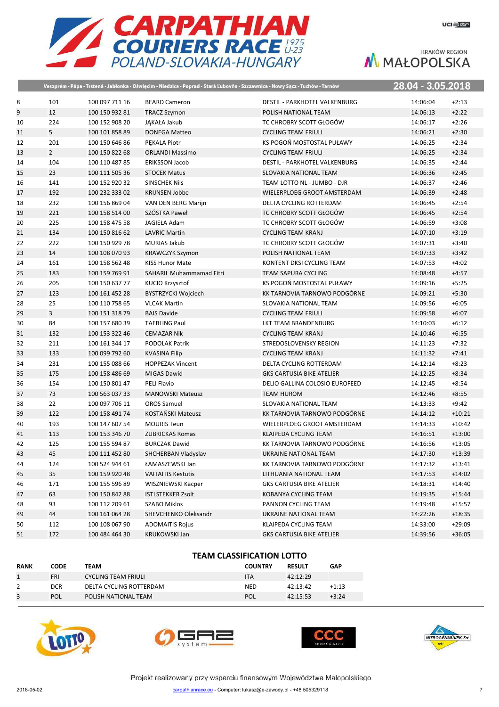

|    |                |                |                            | Veszprém - Pápa - Trstená - Jabłonka - Oświęcim - Niedzica - Poprad - Stará Ľubovňa - Szczawnica - Nowy Sącz - Tuchów - Tarnów | 28.04 - 3.05.2018 |          |
|----|----------------|----------------|----------------------------|--------------------------------------------------------------------------------------------------------------------------------|-------------------|----------|
| 8  | 101            | 100 097 711 16 | <b>BEARD Cameron</b>       | DESTIL - PARKHOTEL VALKENBURG                                                                                                  | 14:06:04          | $+2:13$  |
| 9  | 12             | 100 150 932 81 | <b>TRACZ Szymon</b>        | POLISH NATIONAL TEAM                                                                                                           | 14:06:13          | $+2:22$  |
| 10 | 224            | 100 152 908 20 | JAKAŁA Jakub               | TC CHROBRY SCOTT GŁOGÓW                                                                                                        | 14:06:17          | $+2:26$  |
| 11 | 5              | 100 101 858 89 | <b>DONEGA Matteo</b>       | <b>CYCLING TEAM FRIULI</b>                                                                                                     | 14:06:21          | $+2:30$  |
| 12 | 201            | 100 150 646 86 | PEKALA Piotr               | KS POGOŃ MOSTOSTAL PUŁAWY                                                                                                      | 14:06:25          | $+2:34$  |
| 13 | $\overline{2}$ | 100 150 822 68 | <b>ORLANDI Massimo</b>     | <b>CYCLING TEAM FRIULI</b>                                                                                                     | 14:06:25          | $+2:34$  |
| 14 | 104            | 100 110 487 85 | ERIKSSON Jacob             | DESTIL - PARKHOTEL VALKENBURG                                                                                                  | 14:06:35          | $+2:44$  |
| 15 | 23             | 100 111 505 36 | <b>STOCEK Matus</b>        | SLOVAKIA NATIONAL TEAM                                                                                                         | 14:06:36          | $+2:45$  |
| 16 | 141            | 100 152 920 32 | <b>SINSCHEK Nils</b>       | TEAM LOTTO NL - JUMBO - DJR                                                                                                    | 14:06:37          | $+2:46$  |
| 17 | 192            | 100 232 333 02 | <b>KRIJNSEN Jobbe</b>      | WIELERPLOEG GROOT AMSTERDAM                                                                                                    | 14:06:39          | $+2:48$  |
| 18 | 232            | 100 156 869 04 | VAN DEN BERG Marijn        | DELTA CYCLING ROTTERDAM                                                                                                        | 14:06:45          | $+2:54$  |
| 19 | 221            | 100 158 514 00 | SZÓSTKA Paweł              | TC CHROBRY SCOTT GŁOGÓW                                                                                                        | 14:06:45          | $+2:54$  |
| 20 | 225            | 100 158 475 58 | JAGIEŁA Adam               | TC CHROBRY SCOTT GŁOGÓW                                                                                                        | 14:06:59          | $+3:08$  |
| 21 | 134            | 100 150 816 62 | <b>LAVRIC Martin</b>       | <b>CYCLING TEAM KRANJ</b>                                                                                                      | 14:07:10          | $+3:19$  |
| 22 | 222            | 100 150 929 78 | <b>MURIAS Jakub</b>        | TC CHROBRY SCOTT GŁOGÓW                                                                                                        | 14:07:31          | $+3:40$  |
| 23 | 14             | 100 108 070 93 | <b>KRAWCZYK Szymon</b>     | POLISH NATIONAL TEAM                                                                                                           | 14:07:33          | $+3:42$  |
| 24 | 161            | 100 158 562 48 | <b>KISS Hunor Mate</b>     | KONTENT DKSI CYCLING TEAM                                                                                                      | 14:07:53          | $+4:02$  |
| 25 | 183            | 100 159 769 91 | SAHARIL Muhammamad Fitri   | <b>TEAM SAPURA CYCLING</b>                                                                                                     | 14:08:48          | $+4:57$  |
| 26 | 205            | 100 150 637 77 | KUCIO Krzysztof            | KS POGOŃ MOSTOSTAL PUŁAWY                                                                                                      | 14:09:16          | $+5:25$  |
| 27 | 123            | 100 161 452 28 | <b>BYSTRZYCKI Wojciech</b> | KK TARNOVIA TARNOWO PODGÓRNE                                                                                                   | 14:09:21          | $+5:30$  |
| 28 | 25             | 100 110 758 65 | <b>VLCAK Martin</b>        | SLOVAKIA NATIONAL TEAM                                                                                                         | 14:09:56          | $+6:05$  |
| 29 | 3              | 100 151 318 79 | <b>BAIS Davide</b>         | <b>CYCLING TEAM FRIULI</b>                                                                                                     | 14:09:58          | $+6:07$  |
| 30 | 84             | 100 157 680 39 | <b>TAEBLING Paul</b>       | LKT TEAM BRANDENBURG                                                                                                           | 14:10:03          | $+6:12$  |
| 31 | 132            | 100 153 322 46 | <b>CEMAZAR Nik</b>         | <b>CYCLING TEAM KRANJ</b>                                                                                                      | 14:10:46          | $+6:55$  |
| 32 | 211            | 100 161 344 17 | PODOLAK Patrik             | STREDOSLOVENSKY REGION                                                                                                         | 14:11:23          | $+7:32$  |
| 33 | 133            | 100 099 792 60 | <b>KVASINA Filip</b>       | <b>CYCLING TEAM KRANJ</b>                                                                                                      | 14:11:32          | $+7:41$  |
| 34 | 231            | 100 155 088 66 | <b>HOPPEZAK Vincent</b>    | DELTA CYCLING ROTTERDAM                                                                                                        | 14:12:14          | $+8:23$  |
| 35 | 175            | 100 158 486 69 | <b>MIGAS Dawid</b>         | <b>GKS CARTUSIA BIKE ATELIER</b>                                                                                               | 14:12:25          | $+8:34$  |
| 36 | 154            | 100 150 801 47 | PELI Flavio                | DELIO GALLINA COLOSIO EUROFEED                                                                                                 | 14:12:45          | $+8:54$  |
| 37 | 73             | 100 563 037 33 | <b>MANOWSKI Mateusz</b>    | <b>TEAM HUROM</b>                                                                                                              | 14:12:46          | $+8:55$  |
| 38 | 22             | 100 097 706 11 | <b>OROS Samuel</b>         | SLOVAKIA NATIONAL TEAM                                                                                                         | 14:13:33          | $+9:42$  |
| 39 | 122            | 100 158 491 74 | <b>KOSTAŃSKI Mateusz</b>   | KK TARNOVIA TARNOWO PODGÓRNE                                                                                                   | 14:14:12          | $+10:21$ |
| 40 | 193            | 100 147 607 54 | <b>MOURIS Teun</b>         | WIELERPLOEG GROOT AMSTERDAM                                                                                                    | 14:14:33          | $+10:42$ |
| 41 | 113            | 100 153 346 70 | <b>ZUBRICKAS Romas</b>     | KLAIPEDA CYCLING TEAM                                                                                                          | 14:16:51          | $+13:00$ |
| 42 | 125            | 100 155 594 87 | <b>BURCZAK Dawid</b>       | KK TARNOVIA TARNOWO PODGÓRNE                                                                                                   | 14:16:56          | $+13:05$ |
| 43 | 45             | 100 111 452 80 | SHCHERBAN Vladyslav        | UKRAINE NATIONAL TEAM                                                                                                          | 14:17:30          | $+13.39$ |
| 44 | 124            | 100 524 944 61 | ŁAMASZEWSKI Jan            | KK TARNOVIA TARNOWO PODGÓRNE                                                                                                   | 14:17:32          | $+13:41$ |
| 45 | 35             | 100 159 920 48 | <b>VAITAITIS Kestutis</b>  | LITHUANIA NATIONAL TEAM                                                                                                        | 14:17:53          | $+14:02$ |
| 46 | 171            | 100 155 596 89 | WISZNIEWSKI Kacper         | <b>GKS CARTUSIA BIKE ATELIER</b>                                                                                               | 14:18:31          | $+14:40$ |
| 47 | 63             | 100 150 842 88 | <b>ISTLSTEKKER Zsolt</b>   | KOBANYA CYCLING TEAM                                                                                                           | 14:19:35          | $+15:44$ |
| 48 | 93             | 100 112 209 61 | <b>SZABO Miklos</b>        | PANNON CYCLING TEAM                                                                                                            | 14:19:48          | $+15:57$ |
| 49 | 44             | 100 161 064 28 | SHEVCHENKO Oleksandr       | UKRAINE NATIONAL TEAM                                                                                                          | 14:22:26          | $+18:35$ |
| 50 | 112            | 100 108 067 90 | <b>ADOMAITIS Rojus</b>     | KLAIPEDA CYCLING TEAM                                                                                                          | 14:33:00          | $+29:09$ |
| 51 | 172            | 100 484 464 30 | <b>KRUKOWSKI Jan</b>       | <b>GKS CARTUSIA BIKE ATELIER</b>                                                                                               | 14:39:56          | $+36:05$ |
|    |                |                |                            |                                                                                                                                |                   |          |

### **TEAM CLASSIFICATION LOTTO**

| <b>RANK</b> | <b>CODE</b> | TEAM                    | <b>COUNTRY</b> | <b>RESULT</b> | <b>GAP</b> |
|-------------|-------------|-------------------------|----------------|---------------|------------|
|             | <b>FRI</b>  | CYCLING TEAM FRIULI     | <b>ITA</b>     | 42:12:29      |            |
|             | DCR.        | DELTA CYCLING ROTTERDAM | <b>NED</b>     | 42:13:42      | $+1:13$    |
| 3           | POL         | POLISH NATIONAL TEAM    | POL            | 42:15:53      | $+3:24$    |







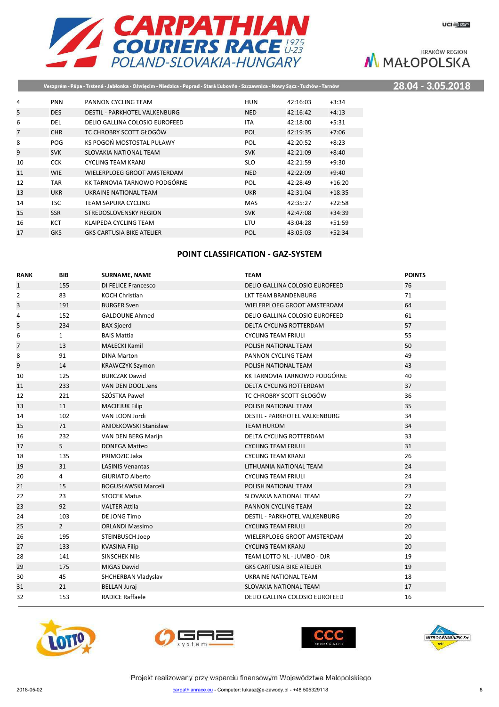

## Veszprém - Pápa - Trstená - Jabłonka - Oświęcim - Niedzica - Poprad - Stará Ľubovňa - Szczawnica - Nowy Sącz - Tuchów - Tarnów

28.04 - 3.05.2018

| 4              | <b>PNN</b> | PANNON CYCLING TEAM              | HUN        | 42:16:03 | $+3:34$  |
|----------------|------------|----------------------------------|------------|----------|----------|
| 5              | <b>DES</b> | DESTIL - PARKHOTEL VALKENBURG    | <b>NED</b> | 42:16:42 | $+4:13$  |
| 6              | <b>DEL</b> | DELIO GALLINA COLOSIO EUROFEED   | <b>ITA</b> | 42:18:00 | $+5:31$  |
| $\overline{7}$ | <b>CHR</b> | TC CHROBRY SCOTT GŁOGÓW          | POL        | 42:19:35 | $+7:06$  |
| 8              | <b>POG</b> | KS POGOŃ MOSTOSTAL PUŁAWY        | POL        | 42:20:52 | $+8:23$  |
| 9              | <b>SVK</b> | SLOVAKIA NATIONAL TEAM           | <b>SVK</b> | 42:21:09 | $+8:40$  |
| 10             | <b>CCK</b> | <b>CYCLING TEAM KRANJ</b>        | <b>SLO</b> | 42:21:59 | $+9:30$  |
| 11             | <b>WIE</b> | WIELERPLOEG GROOT AMSTERDAM      | <b>NED</b> | 42:22:09 | $+9:40$  |
| 12             | <b>TAR</b> | KK TARNOVIA TARNOWO PODGÓRNE     | POL        | 42:28:49 | $+16:20$ |
| 13             | <b>UKR</b> | UKRAINE NATIONAL TEAM            | <b>UKR</b> | 42:31:04 | $+18:35$ |
| 14             | <b>TSC</b> | TEAM SAPURA CYCLING              | <b>MAS</b> | 42:35:27 | $+22:58$ |
| 15             | <b>SSR</b> | STREDOSLOVENSKY REGION           | <b>SVK</b> | 42:47:08 | $+34:39$ |
| 16             | KCT        | KLAIPEDA CYCLING TEAM            | LTU        | 43:04:28 | $+51:59$ |
| 17             | <b>GKS</b> | <b>GKS CARTUSIA BIKE ATELIER</b> | POL        | 43:05:03 | $+52:34$ |
|                |            |                                  |            |          |          |

### **POINT CLASSIFICATION - GAZ-SYSTEM**

| <b>RANK</b>    | <b>BIB</b>     | <b>SURNAME, NAME</b>         | <b>TEAM</b>                          | <b>POINTS</b> |
|----------------|----------------|------------------------------|--------------------------------------|---------------|
| $\mathbf{1}$   | 155            | <b>DI FELICE Francesco</b>   | DELIO GALLINA COLOSIO EUROFEED       | 76            |
| $\overline{2}$ | 83             | <b>KOCH Christian</b>        | LKT TEAM BRANDENBURG                 | 71            |
| 3              | 191            | <b>BURGER Sven</b>           | WIELERPLOEG GROOT AMSTERDAM          | 64            |
| 4              | 152            | <b>GALDOUNE Ahmed</b>        | DELIO GALLINA COLOSIO EUROFEED       | 61            |
| 5              | 234            | <b>BAX Sjoerd</b>            | DELTA CYCLING ROTTERDAM              | 57            |
| 6              | $\mathbf{1}$   | <b>BAIS Mattia</b>           | <b>CYCLING TEAM FRIULI</b>           | 55            |
| $\overline{7}$ | 13             | <b>MAŁECKI Kamil</b>         | POLISH NATIONAL TEAM                 | 50            |
| 8              | 91             | <b>DINA Marton</b>           | PANNON CYCLING TEAM                  | 49            |
| 9              | 14             | <b>KRAWCZYK Szymon</b>       | POLISH NATIONAL TEAM                 | 43            |
| 10             | 125            | <b>BURCZAK Dawid</b>         | KK TARNOVIA TARNOWO PODGÓRNE         | 40            |
| 11             | 233            | VAN DEN DOOL Jens            | DELTA CYCLING ROTTERDAM              | 37            |
| 12             | 221            | SZÓSTKA Paweł                | TC CHROBRY SCOTT GŁOGÓW              | 36            |
| 13             | 11             | <b>MACIEJUK Filip</b>        | POLISH NATIONAL TEAM                 | 35            |
| 14             | 102            | VAN LOON Jordi               | DESTIL - PARKHOTEL VALKENBURG        | 34            |
| 15             | 71             | <b>ANIOŁKOWSKI Stanisław</b> | <b>TEAM HUROM</b>                    | 34            |
| 16             | 232            | VAN DEN BERG Marijn          | <b>DELTA CYCLING ROTTERDAM</b>       | 33            |
| 17             | 5              | <b>DONEGA Matteo</b>         | <b>CYCLING TEAM FRIULI</b>           | 31            |
| 18             | 135            | PRIMOZIC Jaka                | <b>CYCLING TEAM KRANJ</b>            | 26            |
| 19             | 31             | <b>LASINIS Venantas</b>      | LITHUANIA NATIONAL TEAM              | 24            |
| 20             | 4              | <b>GIURIATO Alberto</b>      | <b>CYCLING TEAM FRIULI</b>           | 24            |
| 21             | 15             | <b>BOGUSŁAWSKI Marceli</b>   | POLISH NATIONAL TEAM                 | 23            |
| 22             | 23             | <b>STOCEK Matus</b>          | SLOVAKIA NATIONAL TEAM               | 22            |
| 23             | 92             | <b>VALTER Attila</b>         | PANNON CYCLING TEAM                  | 22            |
| 24             | 103            | DE JONG Timo                 | <b>DESTIL - PARKHOTEL VALKENBURG</b> | 20            |
| 25             | $\overline{2}$ | <b>ORLANDI Massimo</b>       | <b>CYCLING TEAM FRIULI</b>           | 20            |
| 26             | 195            | <b>STEINBUSCH Joep</b>       | WIELERPLOEG GROOT AMSTERDAM          | 20            |
| 27             | 133            | <b>KVASINA Filip</b>         | <b>CYCLING TEAM KRANJ</b>            | 20            |
| 28             | 141            | <b>SINSCHEK Nils</b>         | TEAM LOTTO NL - JUMBO - DJR          | 19            |
| 29             | 175            | <b>MIGAS Dawid</b>           | <b>GKS CARTUSIA BIKE ATELIER</b>     | 19            |
| 30             | 45             | SHCHERBAN Vladyslav          | UKRAINE NATIONAL TEAM                | 18            |
| 31             | 21             | <b>BELLAN Juraj</b>          | <b>SLOVAKIA NATIONAL TEAM</b>        | 17            |
| 32             | 153            | <b>RADICE Raffaele</b>       | DELIO GALLINA COLOSIO EUROFEED       | 16            |







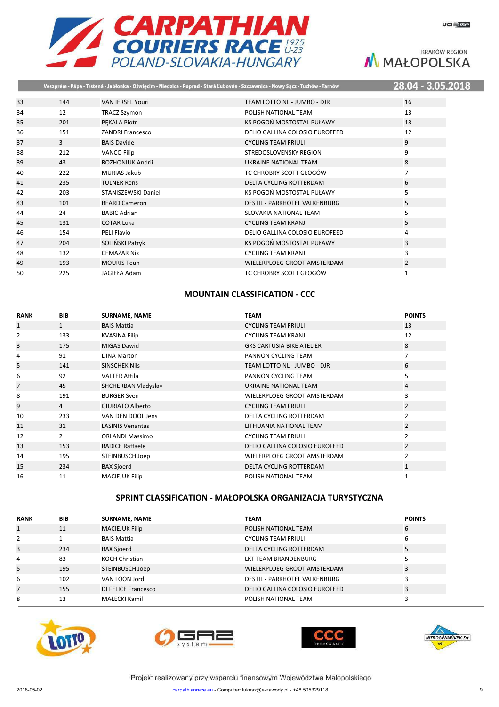

 $\overline{8}$ 

**KRAKÓW REGION** M MAŁOPOLSKA

|    |     |                         | Veszprém - Pápa - Trstená - Jabłonka - Oświęcim - Niedzica - Poprad - Stará Ľubovňa - Szczawnica - Nowy Sącz - Tuchów - Tarnów | 28.04 - 3.05.201 |
|----|-----|-------------------------|--------------------------------------------------------------------------------------------------------------------------------|------------------|
| 33 | 144 | <b>VAN IERSEL Youri</b> | TEAM LOTTO NL - JUMBO - DJR                                                                                                    | 16               |
| 34 | 12  |                         | POLISH NATIONAL TEAM                                                                                                           | 13               |
|    |     | <b>TRACZ Szymon</b>     |                                                                                                                                |                  |
| 35 | 201 | PEKALA Piotr            | KS POGOŃ MOSTOSTAL PUŁAWY                                                                                                      | 13               |
| 36 | 151 | <b>ZANDRI Francesco</b> | DELIO GALLINA COLOSIO EUROFEED                                                                                                 | 12               |
| 37 | 3   | <b>BAIS Davide</b>      | <b>CYCLING TEAM FRIULI</b>                                                                                                     | 9                |
| 38 | 212 | <b>VANCO Filip</b>      | STREDOSLOVENSKY REGION                                                                                                         | 9                |
| 39 | 43  | ROZHONIUK Andrii        | UKRAINE NATIONAL TEAM                                                                                                          | 8                |
| 40 | 222 | <b>MURIAS Jakub</b>     | TC CHROBRY SCOTT GŁOGÓW                                                                                                        | 7                |
| 41 | 235 | <b>TULNER Rens</b>      | <b>DELTA CYCLING ROTTERDAM</b>                                                                                                 | 6                |
| 42 | 203 | STANISZEWSKI Daniel     | KS POGOŃ MOSTOSTAL PUŁAWY                                                                                                      | 5                |
| 43 | 101 | <b>BEARD Cameron</b>    | <b>DESTIL - PARKHOTEL VALKENBURG</b>                                                                                           | 5                |
| 44 | 24  | <b>BABIC Adrian</b>     | SLOVAKIA NATIONAL TEAM                                                                                                         | 5                |
| 45 | 131 | <b>COTAR Luka</b>       | <b>CYCLING TEAM KRANJ</b>                                                                                                      | 5                |
| 46 | 154 | PELI Flavio             | DELIO GALLINA COLOSIO EUROFEED                                                                                                 | 4                |
| 47 | 204 | SOLIŃSKI Patryk         | KS POGOŃ MOSTOSTAL PUŁAWY                                                                                                      | 3                |
| 48 | 132 | <b>CEMAZAR Nik</b>      | <b>CYCLING TEAM KRANJ</b>                                                                                                      | 3                |
| 49 | 193 | <b>MOURIS Teun</b>      | WIELERPLOEG GROOT AMSTERDAM                                                                                                    | $\overline{2}$   |
| 50 | 225 | JAGIEŁA Adam            | TC CHROBRY SCOTT GŁOGÓW                                                                                                        | 1                |

### **MOUNTAIN CLASSIFICATION - CCC**

| <b>RANK</b>    | <b>BIB</b>     | <b>SURNAME, NAME</b>    | <b>TEAM</b>                      | <b>POINTS</b>  |
|----------------|----------------|-------------------------|----------------------------------|----------------|
| $\mathbf{1}$   | $\mathbf{1}$   | <b>BAIS Mattia</b>      | <b>CYCLING TEAM FRIULI</b>       | 13             |
| $\overline{2}$ | 133            | <b>KVASINA Filip</b>    | <b>CYCLING TEAM KRANJ</b>        | 12             |
| 3              | 175            | <b>MIGAS Dawid</b>      | <b>GKS CARTUSIA BIKE ATELIER</b> | 8              |
| 4              | 91             | <b>DINA Marton</b>      | PANNON CYCLING TEAM              | 7              |
| 5              | 141            | <b>SINSCHEK Nils</b>    | TEAM LOTTO NL - JUMBO - DJR      | 6              |
| 6              | 92             | <b>VALTER Attila</b>    | PANNON CYCLING TEAM              | 5              |
| $\overline{7}$ | 45             | SHCHERBAN Vladyslav     | UKRAINE NATIONAL TEAM            | 4              |
| 8              | 191            | <b>BURGER Sven</b>      | WIELERPLOEG GROOT AMSTERDAM      | 3              |
| 9              | $\overline{4}$ | <b>GIURIATO Alberto</b> | <b>CYCLING TEAM FRIULI</b>       | $\overline{2}$ |
| 10             | 233            | VAN DEN DOOL Jens       | DELTA CYCLING ROTTERDAM          | 2              |
| 11             | 31             | <b>LASINIS Venantas</b> | LITHUANIA NATIONAL TEAM          | $\overline{2}$ |
| 12             | $\overline{2}$ | <b>ORLANDI Massimo</b>  | <b>CYCLING TEAM FRIULI</b>       | 2              |
| 13             | 153            | <b>RADICE Raffaele</b>  | DELIO GALLINA COLOSIO EUROFEED   | $\overline{2}$ |
| 14             | 195            | STEINBUSCH Joep         | WIELERPLOEG GROOT AMSTERDAM      | $\overline{2}$ |
| 15             | 234            | <b>BAX Sjoerd</b>       | DELTA CYCLING ROTTERDAM          | $\mathbf{1}$   |
| 16             | 11             | <b>MACIEJUK Filip</b>   | POLISH NATIONAL TEAM             | $\mathbf{1}$   |

### **SPRINT CLASSIFICATION - MAŁOPOLSKA ORGANIZACJA TURYSTYCZNA**

| <b>RANK</b>  | <b>BIB</b> | <b>SURNAME, NAME</b>  | <b>TEAM</b>                          | <b>POINTS</b> |
|--------------|------------|-----------------------|--------------------------------------|---------------|
| $\mathbf{1}$ | 11         | <b>MACIEJUK Filip</b> | POLISH NATIONAL TEAM                 | 6             |
| 2            |            | <b>BAIS Mattia</b>    | <b>CYCLING TEAM FRIULI</b>           | b             |
| 3            | 234        | <b>BAX Sjoerd</b>     | DELTA CYCLING ROTTERDAM              |               |
| 4            | 83         | <b>KOCH Christian</b> | LKT TEAM BRANDENBURG                 |               |
| 5            | 195        | STEINBUSCH Joep       | WIELERPLOEG GROOT AMSTERDAM          |               |
| 6            | 102        | VAN LOON Jordi        | <b>DESTIL - PARKHOTEL VALKENBURG</b> |               |
| 7            | 155        | DI FELICE Francesco   | DELIO GALLINA COLOSIO EUROFEED       |               |
| 8            | 13         | <b>MAŁECKI Kamil</b>  | POLISH NATIONAL TEAM                 |               |







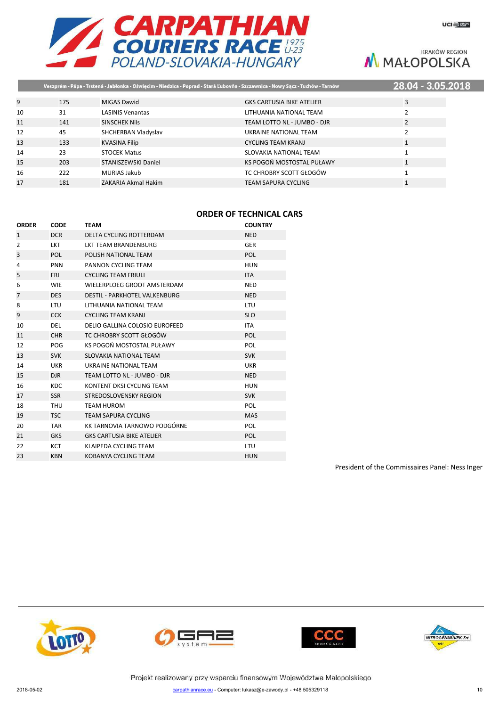

|    |     |                         | Veszprém - Pápa - Trstená - Jabłonka - Oświęcim - Niedzica - Poprad - Stará Ľubovňa - Szczawnica - Nowy Sącz - Tuchów - Tarnów | 28.04 - 3.05.2018 |  |
|----|-----|-------------------------|--------------------------------------------------------------------------------------------------------------------------------|-------------------|--|
|    |     |                         |                                                                                                                                |                   |  |
|    | 175 | MIGAS Dawid             | <b>GKS CARTUSIA BIKE ATELIER</b>                                                                                               | 3                 |  |
| 10 | 31  | <b>LASINIS Venantas</b> | LITHUANIA NATIONAL TEAM                                                                                                        |                   |  |
| 11 | 141 | <b>SINSCHEK Nils</b>    | TEAM LOTTO NL - JUMBO - DJR                                                                                                    |                   |  |
| 12 | 45  | SHCHERBAN Vladyslav     | UKRAINE NATIONAL TEAM                                                                                                          |                   |  |
| 13 | 133 | <b>KVASINA Filip</b>    | <b>CYCLING TEAM KRANJ</b>                                                                                                      |                   |  |
| 14 | 23  | <b>STOCEK Matus</b>     | SLOVAKIA NATIONAL TEAM                                                                                                         |                   |  |
| 15 | 203 | STANISZEWSKI Daniel     | KS POGOŃ MOSTOSTAL PUŁAWY                                                                                                      | $\mathbf{1}$      |  |
| 16 | 222 | <b>MURIAS Jakub</b>     | TC CHROBRY SCOTT GŁOGÓW                                                                                                        |                   |  |
| 17 | 181 | ZAKARIA Akmal Hakim     | <b>TEAM SAPURA CYCLING</b>                                                                                                     |                   |  |
|    |     |                         |                                                                                                                                |                   |  |

### **ORDER OF TECHNICAL CARS**

| <b>ORDER</b>   | <b>CODE</b> | <b>TEAM</b>                          | <b>COUNTRY</b> |
|----------------|-------------|--------------------------------------|----------------|
| 1              | <b>DCR</b>  | DELTA CYCLING ROTTERDAM              | <b>NED</b>     |
| $\overline{2}$ | <b>LKT</b>  | <b>LKT TEAM BRANDENBURG</b>          | <b>GER</b>     |
| 3              | <b>POL</b>  | POLISH NATIONAL TEAM                 | <b>POL</b>     |
| 4              | <b>PNN</b>  | PANNON CYCLING TEAM                  | <b>HUN</b>     |
| 5              | <b>FRI</b>  | <b>CYCLING TEAM FRIULI</b>           | <b>ITA</b>     |
| 6              | <b>WIE</b>  | WIELERPLOEG GROOT AMSTERDAM          | <b>NED</b>     |
| $\overline{7}$ | <b>DES</b>  | <b>DESTIL - PARKHOTEL VALKENBURG</b> | <b>NED</b>     |
| 8              | <b>LTU</b>  | LITHUANIA NATIONAL TEAM              | <b>LTU</b>     |
| 9              | <b>CCK</b>  | <b>CYCLING TEAM KRANJ</b>            | <b>SLO</b>     |
| 10             | <b>DEL</b>  | DELIO GALLINA COLOSIO EUROFEED       | <b>ITA</b>     |
| 11             | <b>CHR</b>  | TC CHROBRY SCOTT GŁOGÓW              | <b>POL</b>     |
| 12             | POG         | KS POGOŃ MOSTOSTAL PUŁAWY            | <b>POL</b>     |
| 13             | <b>SVK</b>  | SLOVAKIA NATIONAL TEAM               | <b>SVK</b>     |
| 14             | <b>UKR</b>  | UKRAINE NATIONAL TEAM                | <b>UKR</b>     |
| 15             | DJR.        | TEAM LOTTO NL - JUMBO - DJR          | <b>NED</b>     |
| 16             | <b>KDC</b>  | KONTENT DKSI CYCLING TEAM            | <b>HUN</b>     |
| 17             | <b>SSR</b>  | STREDOSLOVENSKY REGION               | <b>SVK</b>     |
| 18             | <b>THU</b>  | <b>TEAM HUROM</b>                    | <b>POL</b>     |
| 19             | <b>TSC</b>  | <b>TEAM SAPURA CYCLING</b>           | <b>MAS</b>     |
| 20             | <b>TAR</b>  | KK TARNOVIA TARNOWO PODGÓRNE         | <b>POL</b>     |
| 21             | <b>GKS</b>  | <b>GKS CARTUSIA BIKE ATELIER</b>     | <b>POL</b>     |
| 22             | <b>KCT</b>  | KLAIPEDA CYCLING TEAM                | <b>LTU</b>     |
| 23             | <b>KBN</b>  | KOBANYA CYCLING TEAM                 | <b>HUN</b>     |
|                |             |                                      |                |

President of the Commissaires Panel: Ness Inger







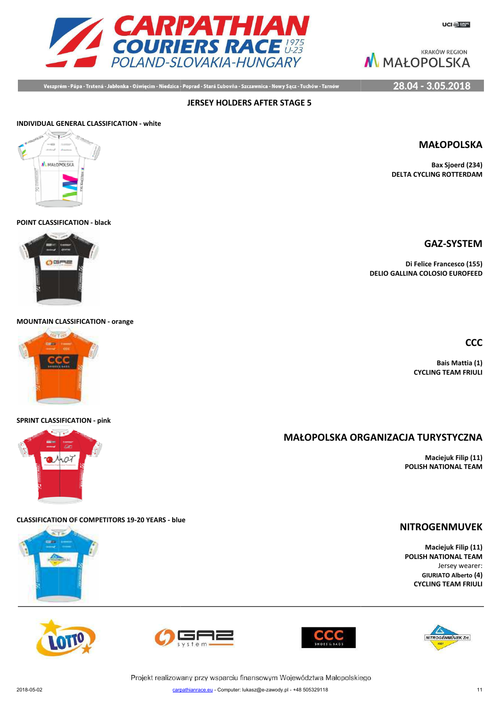**KRAKÓW REGION** 



M MAŁOPOLSKA

28.04 - 3.05.2018

Veszprém - Pápa - Trstená - Jabłonka - Oświęcim - Niedzica - Poprad - Stará Ľubovňa - Szczawnica - Nowy Sącz - Tuchów - Tarnów

**JERSEY HOLDERS AFTER STAGE 5**

# **INDIVIDUAL GENERAL CLASSIFICATION - white** ALMANDROLSKA

### **POINT CLASSIFICATION - black**



**MOUNTAIN CLASSIFICATION - orange**



### **SPRINT CLASSIFICATION - pink**

### **CLASSIFICATION OF COMPETITORS 19-20 YEARS - blue**





**Di Felice Francesco (155) DELIO GALLINA COLOSIO EUROFEED**

**CCC**

**Bais Mattia (1) CYCLING TEAM FRIULI**

## **MAŁOPOLSKA ORG ORGANIZACJA TURYSTYCZNA**

**Maciejuk Filip (11) POLISH NATIONAL TEAM**

### **NITROGENMUVEK**

**Maciejuk Filip (11) POLISH NATIONAL TEAM** Jersey wearer: **GIURIATO Alberto (4) CYCLING TEAM FRIULI**

NITROGÉNMŰVEK Zrt.







Projekt realizowany przy wsparciu finansowym Województwa Małopolskiego carpathianrace.eu - Computer: lukasz@e-zawody.pl - +48 505329118 2018-05-02 carpa

**MAŁOPOLSKA**

**GAZ-SYSTEM**

**Bax Sjoerd (234) DELTA CYCLING ROTTERDAM**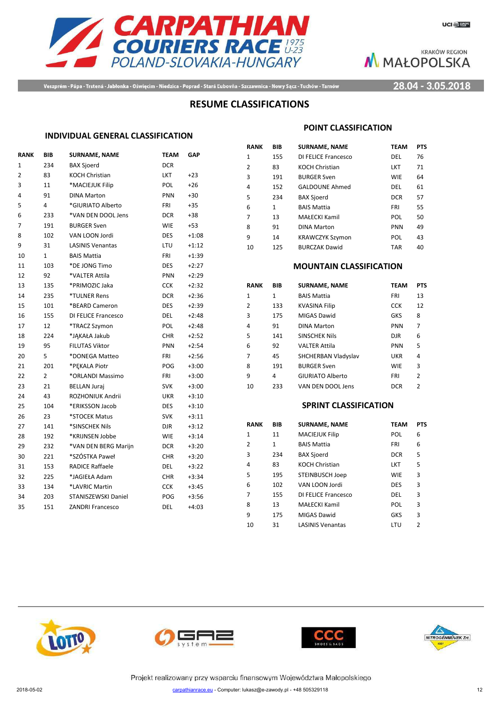

Veszprém - Pápa - Trstená - Jabłonka - Oświęcim - Niedzica - Poprad - Stará Ľubovňa - Szczawnica - Nowy Sącz - Tuchów - Tarnów

### 28.04 - 3.05.2018

### **RESUME CLASSIFICATIONS**

### **INDIVIDUAL GENERAL CLASSIFICATION**

| <b>RANK</b> | BIB            | <b>SURNAME, NAME</b>    | <b>TEAM</b> | <b>GAP</b> |
|-------------|----------------|-------------------------|-------------|------------|
| 1           | 234            | <b>BAX Sjoerd</b>       | <b>DCR</b>  |            |
| 2           | 83             | <b>KOCH Christian</b>   | LKT         | $+23$      |
| 3           | 11             | *MACIEJUK Filip         | POL         | $+26$      |
| 4           | 91             | <b>DINA Marton</b>      | <b>PNN</b>  | +30        |
| 5           | 4              | *GIURIATO Alberto       | FRI         | $+35$      |
| 6           | 233            | *VAN DEN DOOL Jens      | <b>DCR</b>  | $+38$      |
| 7           | 191            | <b>BURGER Sven</b>      | <b>WIE</b>  | $+53$      |
| 8           | 102            | VAN LOON Jordi          | <b>DES</b>  | $+1:08$    |
| 9           | 31             | <b>LASINIS Venantas</b> | LTU         | $+1:12$    |
| 10          | $\mathbf{1}$   | <b>BAIS Mattia</b>      | FRI         | $+1:39$    |
| 11          | 103            | *DE JONG Timo           | DES         | $+2:27$    |
| 12          | 92             | *VALTER Attila          | PNN         | $+2:29$    |
| 13          | 135            | *PRIMOZIC Jaka          | <b>CCK</b>  | $+2:32$    |
| 14          | 235            | *TULNER Rens            | <b>DCR</b>  | $+2:36$    |
| 15          | 101            | *BEARD Cameron          | <b>DES</b>  | $+2:39$    |
| 16          | 155            | DI FELICE Francesco     | DEL         | $+2:48$    |
| 17          | 12             | *TRACZ Szymon           | POL         | $+2:48$    |
| 18          | 224            | *JĄKAŁA Jakub           | <b>CHR</b>  | $+2:52$    |
| 19          | 95             | <b>FILUTAS Viktor</b>   | PNN         | $+2:54$    |
| 20          | 5              | *DONEGA Matteo          | <b>FRI</b>  | $+2:56$    |
| 21          | 201            | *PEKALA Piotr           | <b>POG</b>  | $+3:00$    |
| 22          | $\overline{2}$ | *ORLANDI Massimo        | FRI         | $+3:00$    |
| 23          | 21             | <b>BELLAN Juraj</b>     | <b>SVK</b>  | $+3:00$    |
| 24          | 43             | ROZHONIUK Andrii        | UKR         | $+3:10$    |
| 25          | 104            | *ERIKSSON Jacob         | <b>DES</b>  | $+3:10$    |
| 26          | 23             | *STOCEK Matus           | <b>SVK</b>  | $+3:11$    |
| 27          | 141            | *SINSCHEK Nils          | djr         | $+3:12$    |
| 28          | 192            | *KRIJNSEN Jobbe         | <b>WIE</b>  | $+3:14$    |
| 29          | 232            | *VAN DEN BERG Marijn    | DCR         | $+3:20$    |
| 30          | 221            | *SZÓSTKA Paweł          | <b>CHR</b>  | $+3:20$    |
| 31          | 153            | <b>RADICE Raffaele</b>  | DEL.        | $+3:22$    |
| 32          | 225            | *JAGIEŁA Adam           | <b>CHR</b>  | $+3:34$    |
| 33          | 134            | *LAVRIC Martin          | <b>CCK</b>  | $+3:45$    |
| 34          | 203            | STANISZEWSKI Daniel     | POG         | $+3:56$    |
| 35          | 151            | <b>ZANDRI Francesco</b> | <b>DEL</b>  | $+4:03$    |
|             |                |                         |             |            |

### **POINT CLASSIFICATION**

| RANK | BIB          | <b>SURNAME, NAME</b>   | <b>TEAM</b> | <b>PTS</b> |
|------|--------------|------------------------|-------------|------------|
| 1    | 155          | DI FELICE Francesco    | DEL         | 76         |
| 2    | 83           | <b>KOCH Christian</b>  | LKT         | 71         |
| 3    | 191          | <b>BURGER Sven</b>     | <b>WIE</b>  | 64         |
| 4    | 152          | <b>GALDOUNE Ahmed</b>  | DEL         | 61         |
| 5    | 234          | <b>BAX Sjoerd</b>      | <b>DCR</b>  | 57         |
| 6    | $\mathbf{1}$ | <b>BAIS Mattia</b>     | FRI         | 55         |
| 7    | 13           | MAŁECKI Kamil          | POL         | 50         |
| 8    | 91           | <b>DINA Marton</b>     | <b>PNN</b>  | 49         |
| q    | 14           | <b>KRAWCZYK Szymon</b> | POL         | 43         |
| 10   | 125          | <b>BURCZAK Dawid</b>   | <b>TAR</b>  | 40         |

### **MOUNTAIN CLASSIFICATION**

| <b>RANK</b>  | BIB | <b>SURNAME, NAME</b> | <b>TEAM</b> | <b>PTS</b> |
|--------------|-----|----------------------|-------------|------------|
| $\mathbf{1}$ | 1   | <b>BAIS Mattia</b>   | FRI         | 13         |
| 2            | 133 | <b>KVASINA Filip</b> | <b>CCK</b>  | 12         |
| 3            | 175 | MIGAS Dawid          | <b>GKS</b>  | 8          |
| 4            | 91  | <b>DINA Marton</b>   | <b>PNN</b>  | 7          |
| 5            | 141 | <b>SINSCHEK Nils</b> | <b>DJR</b>  | 6          |
| 6            | 92  | <b>VALTER Attila</b> | PNN         | 5          |
| 7            | 45  | SHCHERBAN Vladyslav  | UKR         | 4          |
| 8            | 191 | <b>BURGER Sven</b>   | <b>WIE</b>  | 3          |
| 9            | 4   | GIURIATO Alberto     | FRI         | 2          |
| 10           | 233 | VAN DEN DOOL Jens    | <b>DCR</b>  | 2          |

### **SPRINT CLASSIFICATION**

| <b>RANK</b> | <b>BIB</b> | <b>SURNAME, NAME</b>    | <b>TEAM</b> | <b>PTS</b>    |
|-------------|------------|-------------------------|-------------|---------------|
| 1           | 11         | <b>MACIEJUK Filip</b>   | POL         | 6             |
| 2           | 1          | <b>BAIS Mattia</b>      | FRI         | 6             |
| 3           | 234        | <b>BAX Sjoerd</b>       | <b>DCR</b>  | 5             |
| 4           | 83         | <b>KOCH Christian</b>   | <b>LKT</b>  | 5             |
| 5           | 195        | <b>STEINBUSCH Joep</b>  | <b>WIE</b>  | 3             |
| 6           | 102        | VAN LOON Jordi          | <b>DES</b>  | 3             |
| 7           | 155        | DI FELICE Francesco     | DEL         | 3             |
| 8           | 13         | MAŁECKI Kamil           | POL         | 3             |
| 9           | 175        | MIGAS Dawid             | <b>GKS</b>  | 3             |
| 10          | 31         | <b>LASINIS Venantas</b> | LTU         | $\mathcal{P}$ |